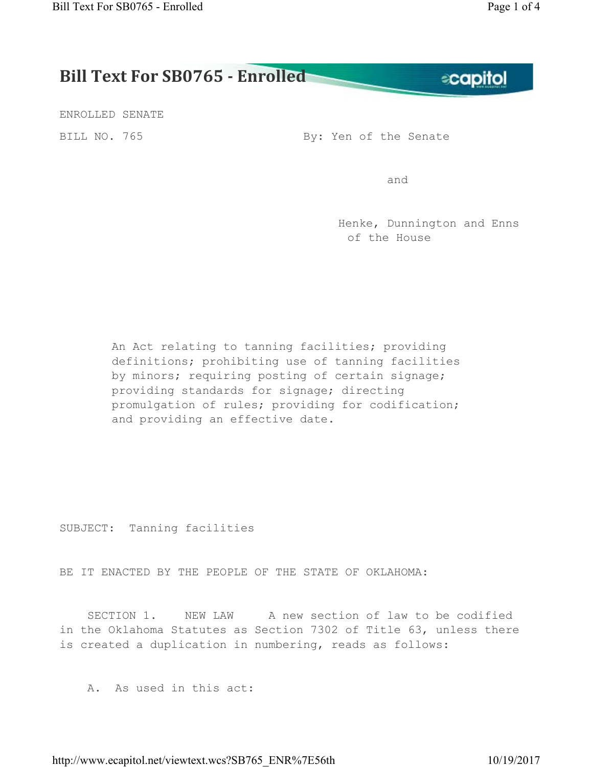**ecapitol** 

## **Bill Text For SB0765 - Enrolled**

ENROLLED SENATE

BILL NO. 765 By: Yen of the Senate

and the contract of the contract of the contract of the contract of the contract of the contract of the contract of the contract of the contract of the contract of the contract of the contract of the contract of the contra

 Henke, Dunnington and Enns of the House

An Act relating to tanning facilities; providing definitions; prohibiting use of tanning facilities by minors; requiring posting of certain signage; providing standards for signage; directing promulgation of rules; providing for codification; and providing an effective date.

SUBJECT: Tanning facilities

BE IT ENACTED BY THE PEOPLE OF THE STATE OF OKLAHOMA:

SECTION 1. NEW LAW A new section of law to be codified in the Oklahoma Statutes as Section 7302 of Title 63, unless there is created a duplication in numbering, reads as follows:

A. As used in this act:

http://www.ecapitol.net/viewtext.wcs?SB765\_ENR%7E56th 10/19/2017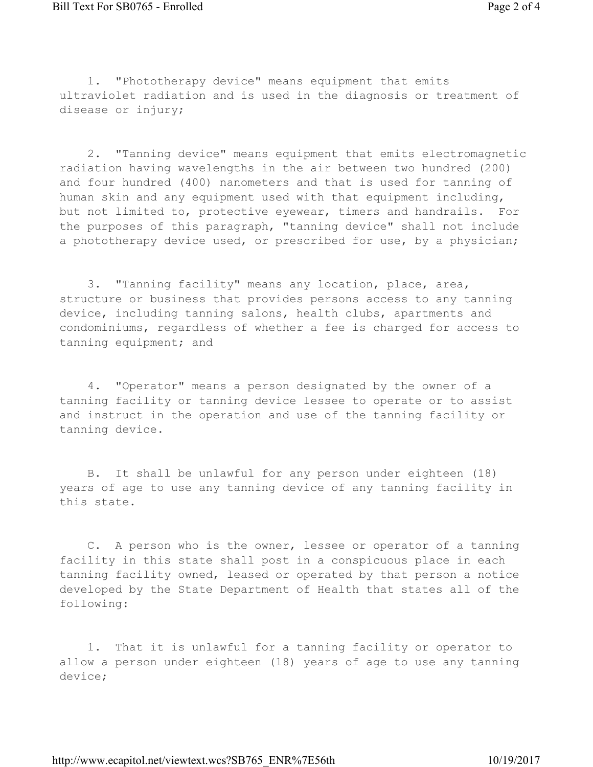1. "Phototherapy device" means equipment that emits ultraviolet radiation and is used in the diagnosis or treatment of disease or injury;

2. "Tanning device" means equipment that emits electromagnetic radiation having wavelengths in the air between two hundred (200) and four hundred (400) nanometers and that is used for tanning of human skin and any equipment used with that equipment including, but not limited to, protective eyewear, timers and handrails. For the purposes of this paragraph, "tanning device" shall not include a phototherapy device used, or prescribed for use, by a physician;

3. "Tanning facility" means any location, place, area, structure or business that provides persons access to any tanning device, including tanning salons, health clubs, apartments and condominiums, regardless of whether a fee is charged for access to tanning equipment; and

4. "Operator" means a person designated by the owner of a tanning facility or tanning device lessee to operate or to assist and instruct in the operation and use of the tanning facility or tanning device.

B. It shall be unlawful for any person under eighteen (18) years of age to use any tanning device of any tanning facility in this state.

C. A person who is the owner, lessee or operator of a tanning facility in this state shall post in a conspicuous place in each tanning facility owned, leased or operated by that person a notice developed by the State Department of Health that states all of the following:

1. That it is unlawful for a tanning facility or operator to allow a person under eighteen (18) years of age to use any tanning device;

http://www.ecapitol.net/viewtext.wcs?SB765\_ENR%7E56th 10/19/2017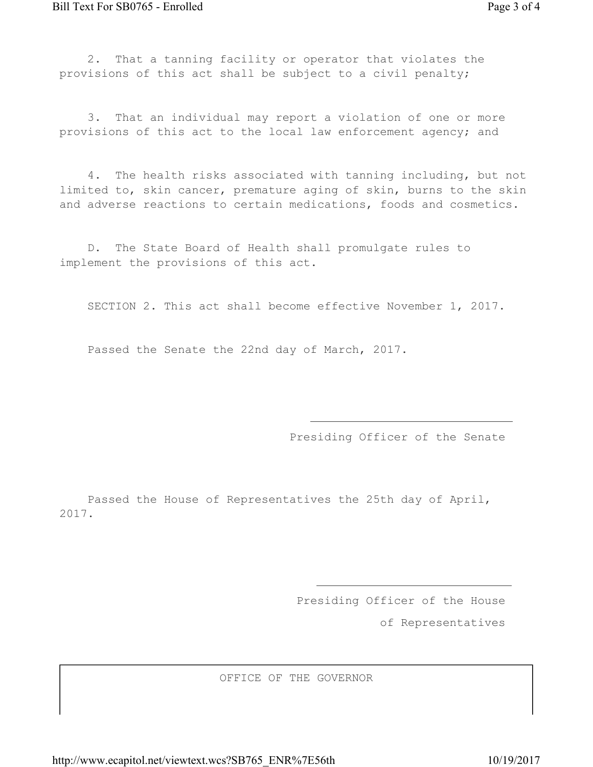2. That a tanning facility or operator that violates the provisions of this act shall be subject to a civil penalty;

3. That an individual may report a violation of one or more provisions of this act to the local law enforcement agency; and

4. The health risks associated with tanning including, but not limited to, skin cancer, premature aging of skin, burns to the skin and adverse reactions to certain medications, foods and cosmetics.

D. The State Board of Health shall promulgate rules to implement the provisions of this act.

SECTION 2. This act shall become effective November 1, 2017.

Passed the Senate the 22nd day of March, 2017.

Presiding Officer of the Senate

Passed the House of Representatives the 25th day of April, 2017.

Presiding Officer of the House

of Representatives

OFFICE OF THE GOVERNOR

http://www.ecapitol.net/viewtext.wcs?SB765\_ENR%7E56th 10/19/2017